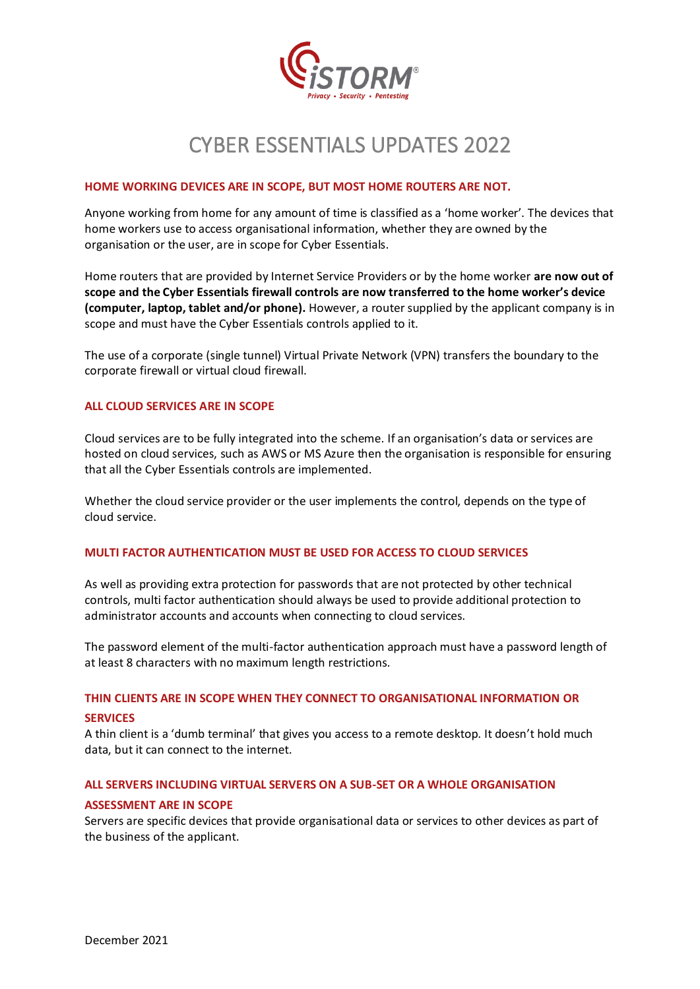

# CYBER ESSENTIALS UPDATES 2022

## **HOME WORKING DEVICES ARE IN SCOPE, BUT MOST HOME ROUTERS ARE NOT.**

Anyone working from home for any amount of time is classified as a 'home worker'. The devices that home workers use to access organisational information, whether they are owned by the organisation or the user, are in scope for Cyber Essentials.

Home routers that are provided by Internet Service Providers or by the home worker **are now out of scope and the Cyber Essentials firewall controls are now transferred to the home worker's device (computer, laptop, tablet and/or phone).** However, a router supplied by the applicant company is in scope and must have the Cyber Essentials controls applied to it.

The use of a corporate (single tunnel) Virtual Private Network (VPN) transfers the boundary to the corporate firewall or virtual cloud firewall.

# **ALL CLOUD SERVICES ARE IN SCOPE**

Cloud services are to be fully integrated into the scheme. If an organisation's data or services are hosted on cloud services, such as AWS or MS Azure then the organisation is responsible for ensuring that all the Cyber Essentials controls are implemented.

Whether the cloud service provider or the user implements the control, depends on the type of cloud service.

# **MULTI FACTOR AUTHENTICATION MUST BE USED FOR ACCESS TO CLOUD SERVICES**

As well as providing extra protection for passwords that are not protected by other technical controls, multi factor authentication should always be used to provide additional protection to administrator accounts and accounts when connecting to cloud services.

The password element of the multi-factor authentication approach must have a password length of at least 8 characters with no maximum length restrictions.

# **THIN CLIENTS ARE IN SCOPE WHEN THEY CONNECT TO ORGANISATIONAL INFORMATION OR SERVICES**

A thin client is a 'dumb terminal' that gives you access to a remote desktop. It doesn't hold much data, but it can connect to the internet.

# **ALL SERVERS INCLUDING VIRTUAL SERVERS ON A SUB-SET OR A WHOLE ORGANISATION**

# **ASSESSMENT ARE IN SCOPE**

Servers are specific devices that provide organisational data or services to other devices as part of the business of the applicant.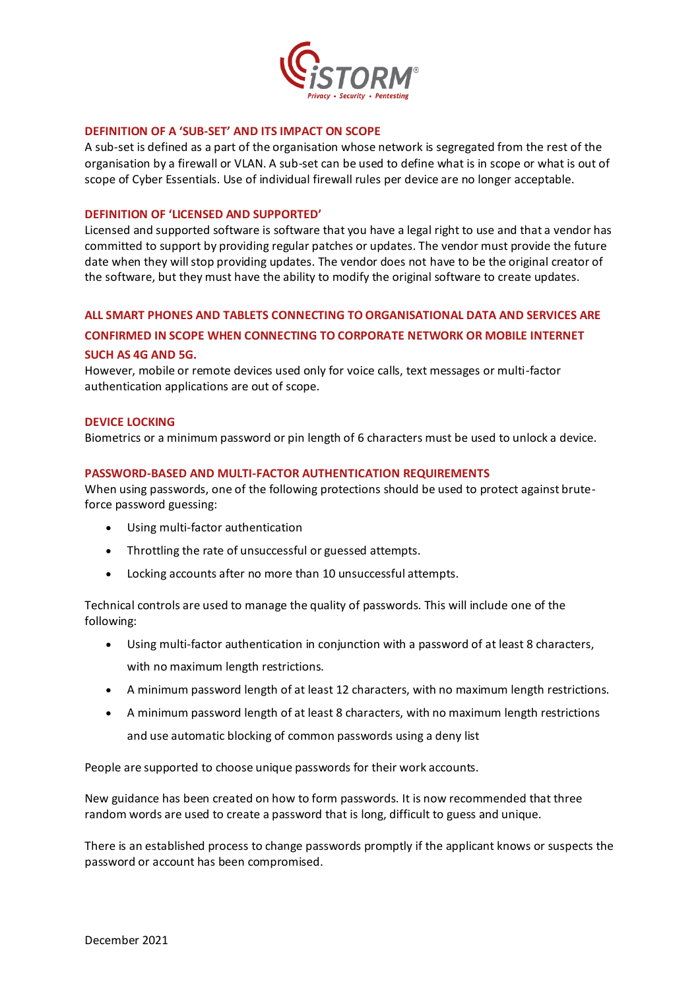

#### **DEFINITION OF A 'SUB-SET' AND ITS IMPACT ON SCOPE**

A sub-set is defined as a part of the organisation whose network is segregated from the rest of the organisation by a firewall or VLAN. A sub-set can be used to define what is in scope or what is out of scope of Cyber Essentials. Use of individual firewall rules per device are no longer acceptable.

## **DEFINITION OF 'LICENSED AND SUPPORTED'**

Licensed and supported software is software that you have a legal right to use and that a vendor has committed to support by providing regular patches or updates. The vendor must provide the future date when they will stop providing updates. The vendor does not have to be the original creator of the software, but they must have the ability to modify the original software to create updates.

## **ALL SMART PHONES AND TABLETS CONNECTING TO ORGANISATIONAL DATA AND SERVICES ARE**

## **CONFIRMED IN SCOPE WHEN CONNECTING TO CORPORATE NETWORK OR MOBILE INTERNET**

#### **SUCH AS 4G AND 5G.**

However, mobile or remote devices used only for voice calls, text messages or multi-factor authentication applications are out of scope.

## **DEVICE LOCKING**

Biometrics or a minimum password or pin length of 6 characters must be used to unlock a device.

## **PASSWORD-BASED AND MULTI-FACTOR AUTHENTICATION REQUIREMENTS**

When using passwords, one of the following protections should be used to protect against bruteforce password guessing:

- Using multi-factor authentication
- Throttling the rate of unsuccessful or guessed attempts.
- Locking accounts after no more than 10 unsuccessful attempts.

Technical controls are used to manage the quality of passwords. This will include one of the following:

- Using multi-factor authentication in conjunction with a password of at least 8 characters, with no maximum length restrictions.
- A minimum password length of at least 12 characters, with no maximum length restrictions.
- A minimum password length of at least 8 characters, with no maximum length restrictions and use automatic blocking of common passwords using a deny list

People are supported to choose unique passwords for their work accounts.

New guidance has been created on how to form passwords. It is now recommended that three random words are used to create a password that is long, difficult to guess and unique.

There is an established process to change passwords promptly if the applicant knows or suspects the password or account has been compromised.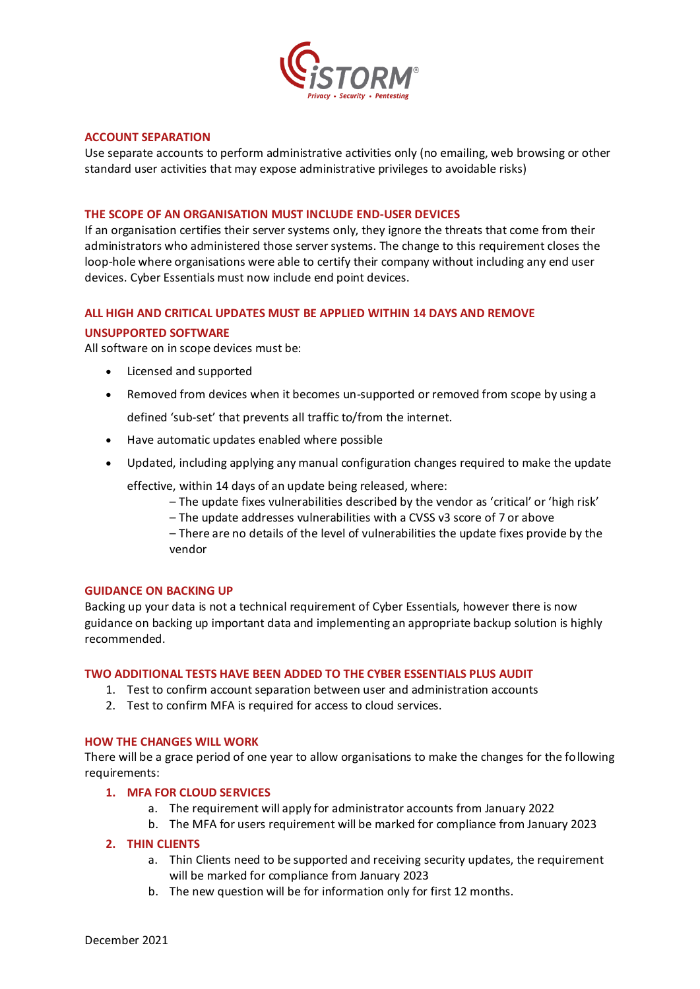

## **ACCOUNT SEPARATION**

Use separate accounts to perform administrative activities only (no emailing, web browsing or other standard user activities that may expose administrative privileges to avoidable risks)

## **THE SCOPE OF AN ORGANISATION MUST INCLUDE END-USER DEVICES**

If an organisation certifies their server systems only, they ignore the threats that come from their administrators who administered those server systems. The change to this requirement closes the loop-hole where organisations were able to certify their company without including any end user devices. Cyber Essentials must now include end point devices.

#### **ALL HIGH AND CRITICAL UPDATES MUST BE APPLIED WITHIN 14 DAYS AND REMOVE**

## **UNSUPPORTED SOFTWARE**

All software on in scope devices must be:

- Licensed and supported
- Removed from devices when it becomes un-supported or removed from scope by using a defined 'sub-set' that prevents all traffic to/from the internet.
- Have automatic updates enabled where possible
- Updated, including applying any manual configuration changes required to make the update

effective, within 14 days of an update being released, where:

- The update fixes vulnerabilities described by the vendor as 'critical' or 'high risk'
- The update addresses vulnerabilities with a CVSS v3 score of 7 or above

– There are no details of the level of vulnerabilities the update fixes provide by the vendor

#### **GUIDANCE ON BACKING UP**

Backing up your data is not a technical requirement of Cyber Essentials, however there is now guidance on backing up important data and implementing an appropriate backup solution is highly recommended.

#### **TWO ADDITIONAL TESTS HAVE BEEN ADDED TO THE CYBER ESSENTIALS PLUS AUDIT**

- 1. Test to confirm account separation between user and administration accounts
- 2. Test to confirm MFA is required for access to cloud services.

#### **HOW THE CHANGES WILL WORK**

There will be a grace period of one year to allow organisations to make the changes for the following requirements:

# **1. MFA FOR CLOUD SERVICES**

- a. The requirement will apply for administrator accounts from January 2022
- b. The MFA for users requirement will be marked for compliance from January 2023

#### **2. THIN CLIENTS**

- a. Thin Clients need to be supported and receiving security updates, the requirement will be marked for compliance from January 2023
- b. The new question will be for information only for first 12 months.